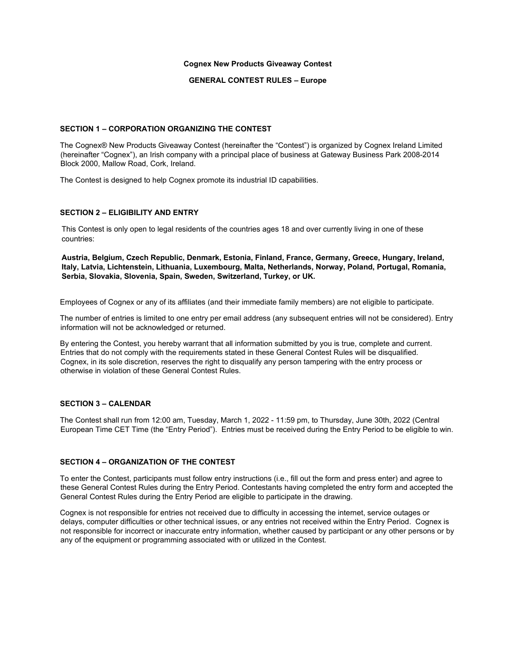#### **Cognex New Products Giveaway Contest**

#### **GENERAL CONTEST RULES – Europe**

### **SECTION 1 – CORPORATION ORGANIZING THE CONTEST**

The Cognex® New Products Giveaway Contest (hereinafter the "Contest") is organized by Cognex Ireland Limited (hereinafter "Cognex"), an Irish company with a principal place of business at Gateway Business Park 2008-2014 Block 2000, Mallow Road, Cork, Ireland.

The Contest is designed to help Cognex promote its industrial ID capabilities.

### **SECTION 2 – ELIGIBILITY AND ENTRY**

This Contest is only open to legal residents of the countries ages 18 and over currently living in one of these countries:

**Austria, Belgium, Czech Republic, Denmark, Estonia, Finland, France, Germany, Greece, Hungary, Ireland, Italy, Latvia, Lichtenstein, Lithuania, Luxembourg, Malta, Netherlands, Norway, Poland, Portugal, Romania, Serbia, Slovakia, Slovenia, Spain, Sweden, Switzerland, Turkey, or UK.**

Employees of Cognex or any of its affiliates (and their immediate family members) are not eligible to participate.

The number of entries is limited to one entry per email address (any subsequent entries will not be considered). Entry information will not be acknowledged or returned.

By entering the Contest, you hereby warrant that all information submitted by you is true, complete and current. Entries that do not comply with the requirements stated in these General Contest Rules will be disqualified. Cognex, in its sole discretion, reserves the right to disqualify any person tampering with the entry process or otherwise in violation of these General Contest Rules.

# **SECTION 3 – CALENDAR**

The Contest shall run from 12:00 am, Tuesday, March 1, 2022 - 11:59 pm, to Thursday, June 30th, 2022 (Central European Time CET Time (the "Entry Period"). Entries must be received during the Entry Period to be eligible to win.

### **SECTION 4 – ORGANIZATION OF THE CONTEST**

To enter the Contest, participants must follow entry instructions (i.e., fill out the form and press enter) and agree to these General Contest Rules during the Entry Period. Contestants having completed the entry form and accepted the General Contest Rules during the Entry Period are eligible to participate in the drawing.

Cognex is not responsible for entries not received due to difficulty in accessing the internet, service outages or delays, computer difficulties or other technical issues, or any entries not received within the Entry Period. Cognex is not responsible for incorrect or inaccurate entry information, whether caused by participant or any other persons or by any of the equipment or programming associated with or utilized in the Contest.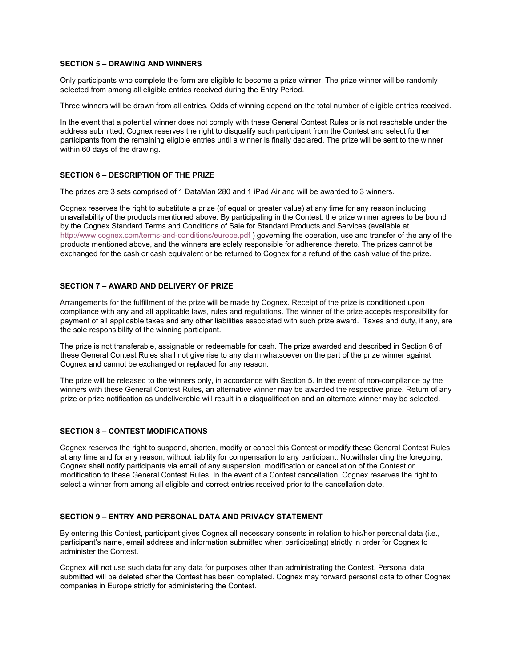### **SECTION 5 – DRAWING AND WINNERS**

Only participants who complete the form are eligible to become a prize winner. The prize winner will be randomly selected from among all eligible entries received during the Entry Period.

Three winners will be drawn from all entries. Odds of winning depend on the total number of eligible entries received.

In the event that a potential winner does not comply with these General Contest Rules or is not reachable under the address submitted, Cognex reserves the right to disqualify such participant from the Contest and select further participants from the remaining eligible entries until a winner is finally declared. The prize will be sent to the winner within 60 days of the drawing.

### **SECTION 6 – DESCRIPTION OF THE PRIZE**

The prizes are 3 sets comprised of 1 DataMan 280 and 1 iPad Air and will be awarded to 3 winners.

Cognex reserves the right to substitute a prize (of equal or greater value) at any time for any reason including unavailability of the products mentioned above. By participating in the Contest, the prize winner agrees to be bound by the Cognex Standard Terms and Conditions of Sale for Standard Products and Services (available at <http://www.cognex.com/terms-and-conditions/europe.pdf> ) governing the operation, use and transfer of the any of the products mentioned above, and the winners are solely responsible for adherence thereto. The prizes cannot be exchanged for the cash or cash equivalent or be returned to Cognex for a refund of the cash value of the prize.

# **SECTION 7 – AWARD AND DELIVERY OF PRIZE**

Arrangements for the fulfillment of the prize will be made by Cognex. Receipt of the prize is conditioned upon compliance with any and all applicable laws, rules and regulations. The winner of the prize accepts responsibility for payment of all applicable taxes and any other liabilities associated with such prize award. Taxes and duty, if any, are the sole responsibility of the winning participant.

The prize is not transferable, assignable or redeemable for cash. The prize awarded and described in Section 6 of these General Contest Rules shall not give rise to any claim whatsoever on the part of the prize winner against Cognex and cannot be exchanged or replaced for any reason.

The prize will be released to the winners only, in accordance with Section 5. In the event of non-compliance by the winners with these General Contest Rules, an alternative winner may be awarded the respective prize. Return of any prize or prize notification as undeliverable will result in a disqualification and an alternate winner may be selected.

# **SECTION 8 – CONTEST MODIFICATIONS**

Cognex reserves the right to suspend, shorten, modify or cancel this Contest or modify these General Contest Rules at any time and for any reason, without liability for compensation to any participant. Notwithstanding the foregoing, Cognex shall notify participants via email of any suspension, modification or cancellation of the Contest or modification to these General Contest Rules. In the event of a Contest cancellation, Cognex reserves the right to select a winner from among all eligible and correct entries received prior to the cancellation date.

#### **SECTION 9 – ENTRY AND PERSONAL DATA AND PRIVACY STATEMENT**

By entering this Contest, participant gives Cognex all necessary consents in relation to his/her personal data (i.e., participant's name, email address and information submitted when participating) strictly in order for Cognex to administer the Contest.

Cognex will not use such data for any data for purposes other than administrating the Contest. Personal data submitted will be deleted after the Contest has been completed. Cognex may forward personal data to other Cognex companies in Europe strictly for administering the Contest.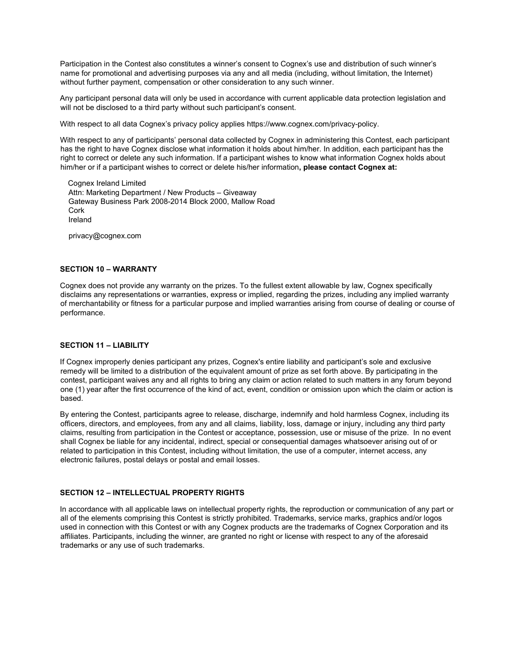Participation in the Contest also constitutes a winner's consent to Cognex's use and distribution of such winner's name for promotional and advertising purposes via any and all media (including, without limitation, the Internet) without further payment, compensation or other consideration to any such winner.

Any participant personal data will only be used in accordance with current applicable data protection legislation and will not be disclosed to a third party without such participant's consent.

With respect to all data Cognex's privacy policy applies https://www.cognex.com/privacy-policy.

With respect to any of participants' personal data collected by Cognex in administering this Contest, each participant has the right to have Cognex disclose what information it holds about him/her. In addition, each participant has the right to correct or delete any such information. If a participant wishes to know what information Cognex holds about him/her or if a participant wishes to correct or delete his/her information**, please contact Cognex at:**

Cognex Ireland Limited Attn: Marketing Department / New Products – Giveaway Gateway Business Park 2008-2014 Block 2000, Mallow Road Cork Ireland

privacy@cognex.com

# **SECTION 10 – WARRANTY**

Cognex does not provide any warranty on the prizes. To the fullest extent allowable by law, Cognex specifically disclaims any representations or warranties, express or implied, regarding the prizes, including any implied warranty of merchantability or fitness for a particular purpose and implied warranties arising from course of dealing or course of performance.

## **SECTION 11 – LIABILITY**

If Cognex improperly denies participant any prizes, Cognex's entire liability and participant's sole and exclusive remedy will be limited to a distribution of the equivalent amount of prize as set forth above. By participating in the contest, participant waives any and all rights to bring any claim or action related to such matters in any forum beyond one (1) year after the first occurrence of the kind of act, event, condition or omission upon which the claim or action is based.

By entering the Contest, participants agree to release, discharge, indemnify and hold harmless Cognex, including its officers, directors, and employees, from any and all claims, liability, loss, damage or injury, including any third party claims, resulting from participation in the Contest or acceptance, possession, use or misuse of the prize. In no event shall Cognex be liable for any incidental, indirect, special or consequential damages whatsoever arising out of or related to participation in this Contest, including without limitation, the use of a computer, internet access, any electronic failures, postal delays or postal and email losses.

# **SECTION 12 – INTELLECTUAL PROPERTY RIGHTS**

In accordance with all applicable laws on intellectual property rights, the reproduction or communication of any part or all of the elements comprising this Contest is strictly prohibited. Trademarks, service marks, graphics and/or logos used in connection with this Contest or with any Cognex products are the trademarks of Cognex Corporation and its affiliates. Participants, including the winner, are granted no right or license with respect to any of the aforesaid trademarks or any use of such trademarks.